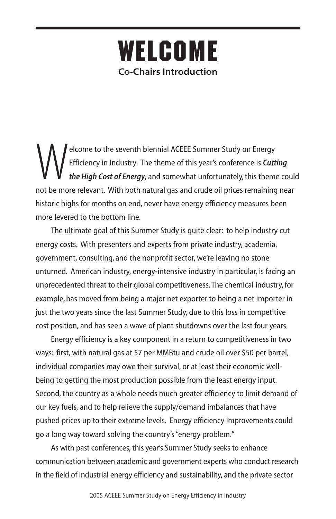## **WELCOME Co-Chairs Introduction**

Efficiency in Industry. The theme of this year's conference is Cutton the High Cost of Energy, and somewhat unfortunately, this theme of the price relation to the High Cost of Energy, and somewhat unfortunately, this theme Efficiency in Industry. The theme of this year's conference is *Cutting the High Cost of Energy*, and somewhat unfortunately, this theme could not be more relevant. With both natural gas and crude oil prices remaining near historic highs for months on end, never have energy efficiency measures been more levered to the bottom line.

The ultimate goal of this Summer Study is quite clear: to help industry cut energy costs. With presenters and experts from private industry, academia, government, consulting, and the nonprofit sector, we're leaving no stone unturned. American industry, energy-intensive industry in particular, is facing an unprecedented threat to their global competitiveness. The chemical industry, for example, has moved from being a major net exporter to being a net importer in just the two years since the last Summer Study, due to this loss in competitive cost position, and has seen a wave of plant shutdowns over the last four years.

Energy efficiency is a key component in a return to competitiveness in two ways: first, with natural gas at \$7 per MMBtu and crude oil over \$50 per barrel, individual companies may owe their survival, or at least their economic wellbeing to getting the most production possible from the least energy input. Second, the country as a whole needs much greater efficiency to limit demand of our key fuels, and to help relieve the supply/demand imbalances that have pushed prices up to their extreme levels. Energy efficiency improvements could go a long way toward solving the country's "energy problem."

As with past conferences, this year's Summer Study seeks to enhance communication between academic and government experts who conduct research in the field of industrial energy efficiency and sustainability, and the private sector